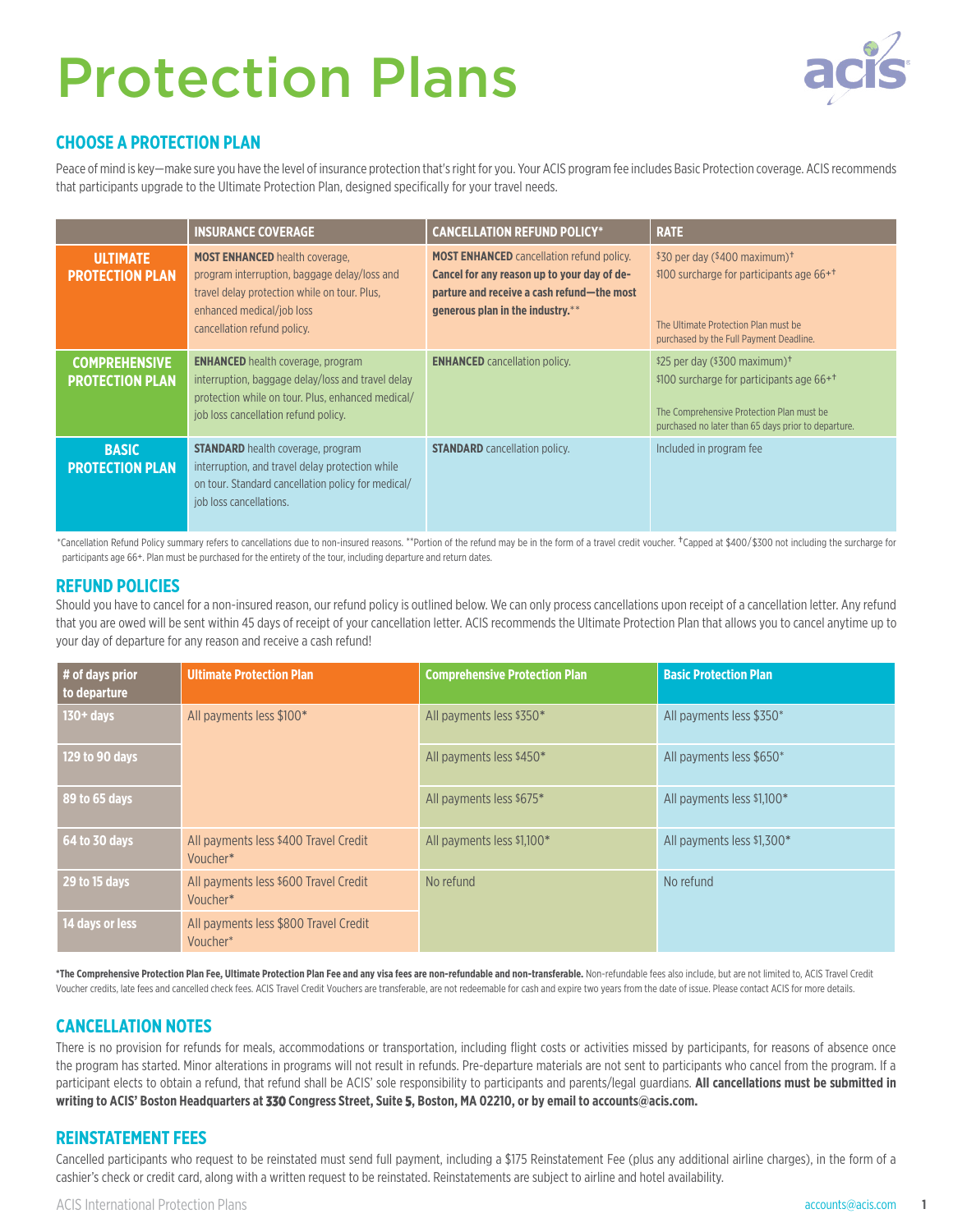# Protection Plans



## **CHOOSE A PROTECTION PLAN**

Peace of mind is key—make sure you have the level of insurance protection that's right for you. Your ACIS program fee includes Basic Protection coverage. ACIS recommends that participants upgrade to the Ultimate Protection Plan, designed specifically for your travel needs.

|                                                | <b>INSURANCE COVERAGE</b>                                                                                                                                                                         | <b>CANCELLATION REFUND POLICY*</b>                                                                                                                                                | <b>RATE</b>                                                                                                                                                                                            |
|------------------------------------------------|---------------------------------------------------------------------------------------------------------------------------------------------------------------------------------------------------|-----------------------------------------------------------------------------------------------------------------------------------------------------------------------------------|--------------------------------------------------------------------------------------------------------------------------------------------------------------------------------------------------------|
| <b>ULTIMATE</b><br><b>PROTECTION PLAN</b>      | <b>MOST ENHANCED</b> health coverage,<br>program interruption, baggage delay/loss and<br>travel delay protection while on tour. Plus,<br>enhanced medical/job loss<br>cancellation refund policy. | <b>MOST ENHANCED</b> cancellation refund policy.<br>Cancel for any reason up to your day of de-<br>parture and receive a cash refund-the most<br>generous plan in the industry.** | \$30 per day $(*400$ maximum) <sup>†</sup><br>\$100 surcharge for participants age 66+ <sup>+</sup><br>The Ultimate Protection Plan must be<br>purchased by the Full Payment Deadline.                 |
| <b>COMPREHENSIVE</b><br><b>PROTECTION PLAN</b> | <b>ENHANCED</b> health coverage, program<br>interruption, baggage delay/loss and travel delay<br>protection while on tour. Plus, enhanced medical/<br>job loss cancellation refund policy.        | <b>ENHANCED</b> cancellation policy.                                                                                                                                              | \$25 per day (\$300 maximum) <sup>+</sup><br>\$100 surcharge for participants age 66+ <sup>+</sup><br>The Comprehensive Protection Plan must be<br>purchased no later than 65 days prior to departure. |
| <b>BASIC</b><br><b>PROTECTION PLAN</b>         | <b>STANDARD</b> health coverage, program<br>interruption, and travel delay protection while<br>on tour. Standard cancellation policy for medical/<br>job loss cancellations.                      | <b>STANDARD</b> cancellation policy.                                                                                                                                              | Included in program fee                                                                                                                                                                                |

\*Cancellation Refund Policy summary refers to cancellations due to non-insured reasons. \*\*Portion of the refund may be in the form of a travel credit voucher. †Capped at \$400/\$300 not including the surcharge for participants age 66+. Plan must be purchased for the entirety of the tour, including departure and return dates.

### **REFUND POLICIES**

Should you have to cancel for a non-insured reason, our refund policy is outlined below. We can only process cancellations upon receipt of a cancellation letter. Any refund that you are owed will be sent within 45 days of receipt of your cancellation letter. ACIS recommends the Ultimate Protection Plan that allows you to cancel anytime up to your day of departure for any reason and receive a cash refund!

| # of days prior<br>to departure | <b>Ultimate Protection Plan</b>                   | <b>Comprehensive Protection Plan</b> | <b>Basic Protection Plan</b> |
|---------------------------------|---------------------------------------------------|--------------------------------------|------------------------------|
| $130 + days$                    | All payments less \$100*                          | All payments less \$350*             | All payments less \$350*     |
| 129 to 90 days                  |                                                   | All payments less \$450*             | All payments less \$650*     |
| 89 to 65 days                   |                                                   | All payments less \$675*             | All payments less \$1.100*   |
| 64 to 30 days                   | All payments less \$400 Travel Credit<br>Voucher* | All payments less \$1.100*           | All payments less \$1.300*   |
| 29 to 15 days                   | All payments less \$600 Travel Credit<br>Voucher* | No refund                            | No refund                    |
| 14 days or less                 | All payments less \$800 Travel Credit<br>Voucher* |                                      |                              |

**\*The Comprehensive Protection Plan Fee, Ultimate Protection Plan Fee and any visa fees are non-refundable and non-transferable.** Non-refundable fees also include, but are not limited to, ACIS Travel Credit Voucher credits, late fees and cancelled check fees. ACIS Travel Credit Vouchers are transferable, are not redeemable for cash and expire two years from the date of issue. Please contact ACIS for more details.

## **CANCELLATION NOTES**

There is no provision for refunds for meals, accommodations or transportation, including flight costs or activities missed by participants, for reasons of absence once the program has started. Minor alterations in programs will not result in refunds. Pre-departure materials are not sent to participants who cancel from the program. If a participant elects to obtain a refund, that refund shall be ACIS' sole responsibility to participants and parents/legal guardians. **All cancellations must be submitted in writing to ACIS' Boston Headquarters at 330 Congress Street, Suite 5, Boston, MA 02210, or by email to accounts@acis.com.** 

## **REINSTATEMENT FEES**

Cancelled participants who request to be reinstated must send full payment, including a \$175 Reinstatement Fee (plus any additional airline charges), in the form of a cashier's check or credit card, along with a written request to be reinstated. Reinstatements are subject to airline and hotel availability.